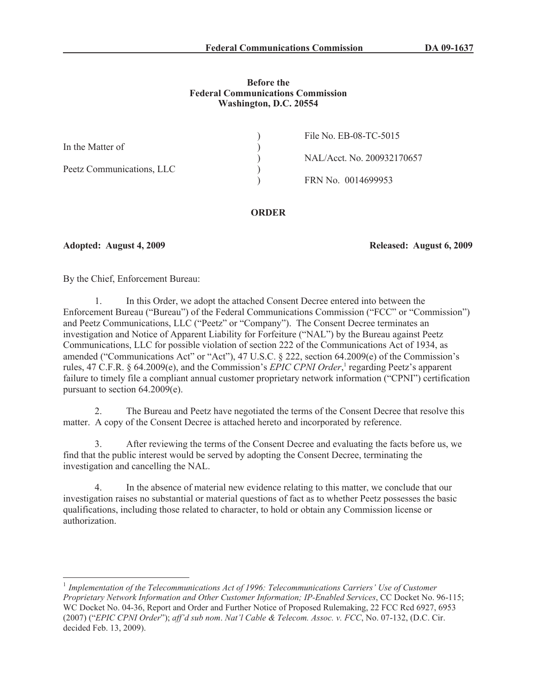### **Before the Federal Communications Commission Washington, D.C. 20554**

|                           | File No. EB-08-TC-5015     |
|---------------------------|----------------------------|
| In the Matter of          |                            |
|                           | NAL/Acct. No. 200932170657 |
| Peetz Communications, LLC |                            |
|                           | FRN No. 0014699953         |
|                           |                            |

## **ORDER**

**Adopted: August 4, 2009 Released: August 6, 2009**

By the Chief, Enforcement Bureau:

1. In this Order, we adopt the attached Consent Decree entered into between the Enforcement Bureau ("Bureau") of the Federal Communications Commission ("FCC" or "Commission") and Peetz Communications, LLC ("Peetz" or "Company"). The Consent Decree terminates an investigation and Notice of Apparent Liability for Forfeiture ("NAL") by the Bureau against Peetz Communications, LLC for possible violation of section 222 of the Communications Act of 1934, as amended ("Communications Act" or "Act"), 47 U.S.C. § 222, section 64.2009(e) of the Commission's rules, 47 C.F.R. § 64.2009(e), and the Commission's *EPIC CPNI Order*,<sup>1</sup> regarding Peetz's apparent failure to timely file a compliant annual customer proprietary network information ("CPNI") certification pursuant to section 64.2009(e).

2. The Bureau and Peetz have negotiated the terms of the Consent Decree that resolve this matter. A copy of the Consent Decree is attached hereto and incorporated by reference.

3. After reviewing the terms of the Consent Decree and evaluating the facts before us, we find that the public interest would be served by adopting the Consent Decree, terminating the investigation and cancelling the NAL.

4. In the absence of material new evidence relating to this matter, we conclude that our investigation raises no substantial or material questions of fact as to whether Peetz possesses the basic qualifications, including those related to character, to hold or obtain any Commission license or authorization.

<sup>&</sup>lt;sup>1</sup> Implementation of the Telecommunications Act of 1996: Telecommunications Carriers' Use of Customer *Proprietary Network Information and Other Customer Information; IP-Enabled Services*, CC Docket No. 96-115; WC Docket No. 04-36, Report and Order and Further Notice of Proposed Rulemaking, 22 FCC Rcd 6927, 6953 (2007) ("*EPIC CPNI Order*"); *aff'd sub nom*. *Nat'l Cable & Telecom. Assoc. v. FCC*, No. 07-132, (D.C. Cir. decided Feb. 13, 2009).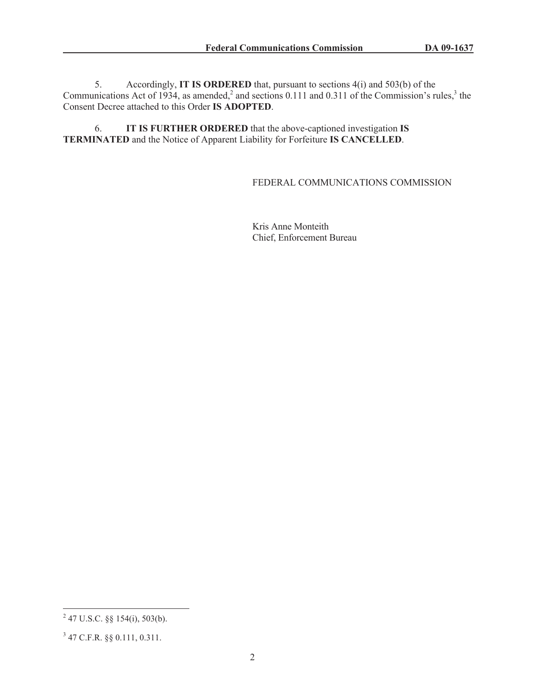5. Accordingly, **IT IS ORDERED** that, pursuant to sections 4(i) and 503(b) of the Communications Act of 1934, as amended,<sup>2</sup> and sections 0.111 and 0.311 of the Commission's rules,<sup>3</sup> the Consent Decree attached to this Order **IS ADOPTED**.

6. **IT IS FURTHER ORDERED** that the above-captioned investigation **IS TERMINATED** and the Notice of Apparent Liability for Forfeiture **IS CANCELLED**.

## FEDERAL COMMUNICATIONS COMMISSION

Kris Anne Monteith Chief, Enforcement Bureau

 $^{2}$  47 U.S.C. §§ 154(i), 503(b).

<sup>3</sup> 47 C.F.R. §§ 0.111, 0.311.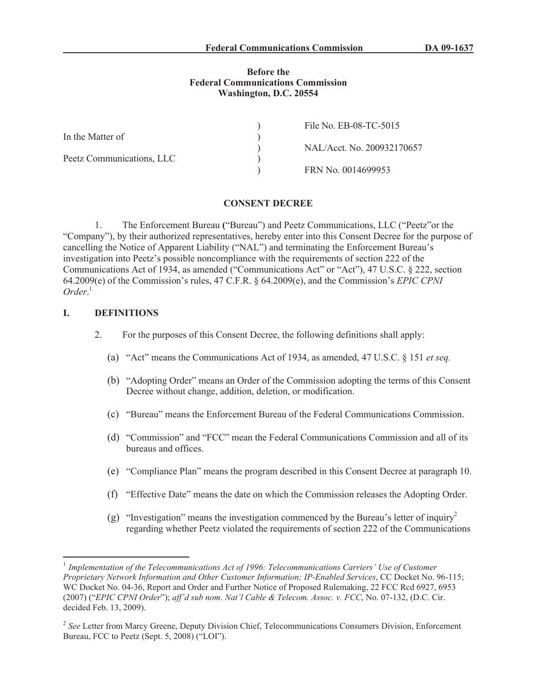#### **Before the Federal Communications Commission Washington, D.C. 20554**

|                           | File No. EB-08-TC-5015     |
|---------------------------|----------------------------|
| In the Matter of          |                            |
|                           | NAL/Acct. No. 200932170657 |
| Peetz Communications, LLC |                            |
|                           | FRN No. 0014699953         |

#### **CONSENT DECREE**

1. The Enforcement Bureau **(**"Bureau") and Peetz Communications, LLC ("Peetz"or the "Company"), by their authorized representatives, hereby enter into this Consent Decree for the purpose of cancelling the Notice of Apparent Liability ("NAL") and terminating the Enforcement Bureau's investigation into Peetz's possible noncompliance with the requirements of section 222 of the Communications Act of 1934, as amended ("Communications Act" or "Act"), 47 U.S.C. § 222, section 64.2009(e) of the Commission's rules, 47 C.F.R. § 64.2009(e), and the Commission's *EPIC CPNI Order*. 1

#### **I. DEFINITIONS**

- 2. For the purposes of this Consent Decree, the following definitions shall apply:
	- (a) "Act" means the Communications Act of 1934, as amended, 47 U.S.C. § 151 *et seq.*
	- (b) "Adopting Order" means an Order of the Commission adopting the terms of this Consent Decree without change, addition, deletion, or modification.
	- (c) "Bureau" means the Enforcement Bureau of the Federal Communications Commission.
	- (d) "Commission" and "FCC" mean the Federal Communications Commission and all of its bureaus and offices.
	- (e) "Compliance Plan" means the program described in this Consent Decree at paragraph 10.
	- (f) "Effective Date" means the date on which the Commission releases the Adopting Order.
	- (g) "Investigation" means the investigation commenced by the Bureau's letter of inquiry<sup>2</sup> regarding whether Peetz violated the requirements of section 222 of the Communications

<sup>&</sup>lt;sup>1</sup> Implementation of the Telecommunications Act of 1996: Telecommunications Carriers' Use of Customer *Proprietary Network Information and Other Customer Information; IP-Enabled Services*, CC Docket No. 96-115; WC Docket No. 04-36, Report and Order and Further Notice of Proposed Rulemaking, 22 FCC Rcd 6927, 6953 (2007) ("*EPIC CPNI Order*"); *aff'd sub nom*. *Nat'l Cable & Telecom. Assoc. v. FCC*, No. 07-132, (D.C. Cir. decided Feb. 13, 2009).

<sup>&</sup>lt;sup>2</sup> See Letter from Marcy Greene, Deputy Division Chief, Telecommunications Consumers Division, Enforcement Bureau, FCC to Peetz (Sept. 5, 2008) ("LOI").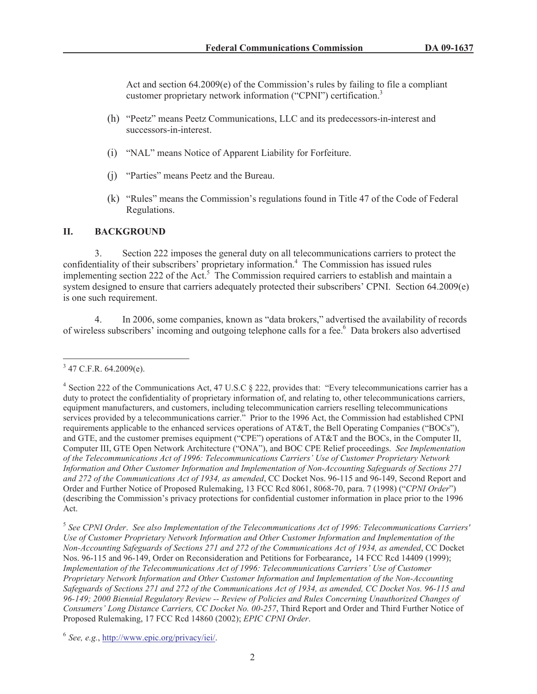Act and section 64.2009(e) of the Commission's rules by failing to file a compliant customer proprietary network information ("CPNI") certification.<sup>3</sup>

- (h) "Peetz" means Peetz Communications, LLC and its predecessors-in-interest and successors-in-interest.
- (i) "NAL" means Notice of Apparent Liability for Forfeiture.
- (j) "Parties" means Peetz and the Bureau.
- (k) "Rules" means the Commission's regulations found in Title 47 of the Code of Federal Regulations.

## **II. BACKGROUND**

3. Section 222 imposes the general duty on all telecommunications carriers to protect the confidentiality of their subscribers' proprietary information.<sup>4</sup> The Commission has issued rules implementing section 222 of the Act.<sup>5</sup> The Commission required carriers to establish and maintain a system designed to ensure that carriers adequately protected their subscribers' CPNI. Section 64.2009(e) is one such requirement.

4. In 2006, some companies, known as "data brokers," advertised the availability of records of wireless subscribers' incoming and outgoing telephone calls for a fee.<sup>6</sup> Data brokers also advertised

 $3$  47 C.F.R. 64.2009(e).

<sup>&</sup>lt;sup>4</sup> Section 222 of the Communications Act, 47 U.S.C § 222, provides that: "Every telecommunications carrier has a duty to protect the confidentiality of proprietary information of, and relating to, other telecommunications carriers, equipment manufacturers, and customers, including telecommunication carriers reselling telecommunications services provided by a telecommunications carrier." Prior to the 1996 Act, the Commission had established CPNI requirements applicable to the enhanced services operations of AT&T, the Bell Operating Companies ("BOCs"), and GTE, and the customer premises equipment ("CPE") operations of AT&T and the BOCs, in the Computer II, Computer III, GTE Open Network Architecture ("ONA"), and BOC CPE Relief proceedings. *See Implementation of the Telecommunications Act of 1996: Telecommunications Carriers' Use of Customer Proprietary Network Information and Other Customer Information and Implementation of Non-Accounting Safeguards of Sections 271 and 272 of the Communications Act of 1934, as amended*, CC Docket Nos. 96-115 and 96-149, Second Report and Order and Further Notice of Proposed Rulemaking, 13 FCC Rcd 8061, 8068-70, para. 7 (1998) ("*CPNI Order*") (describing the Commission's privacy protections for confidential customer information in place prior to the 1996 Act.

<sup>5</sup> *See CPNI Order*. *See also Implementation of the Telecommunications Act of 1996: Telecommunications Carriers' Use of Customer Proprietary Network Information and Other Customer Information and Implementation of the Non-Accounting Safeguards of Sections 271 and 272 of the Communications Act of 1934, as amended*, CC Docket Nos. 96-115 and 96-149, Order on Reconsideration and Petitions for Forbearance, 14 FCC Rcd 14409 (1999); *Implementation of the Telecommunications Act of 1996: Telecommunications Carriers' Use of Customer Proprietary Network Information and Other Customer Information and Implementation of the Non-Accounting Safeguards of Sections 271 and 272 of the Communications Act of 1934, as amended, CC Docket Nos. 96-115 and 96-149; 2000 Biennial Regulatory Review -- Review of Policies and Rules Concerning Unauthorized Changes of Consumers' Long Distance Carriers, CC Docket No. 00-257*, Third Report and Order and Third Further Notice of Proposed Rulemaking, 17 FCC Rcd 14860 (2002); *EPIC CPNI Order*.

<sup>6</sup> *See, e.g.*, http://www.epic.org/privacy/iei/.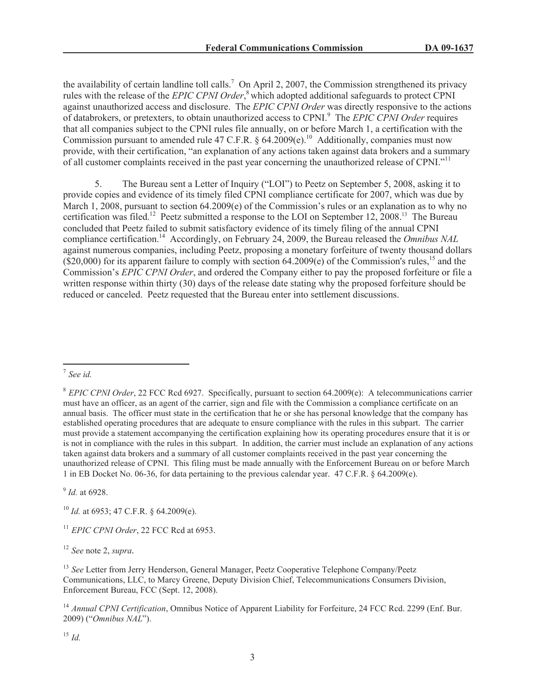the availability of certain landline toll calls.<sup>7</sup> On April 2, 2007, the Commission strengthened its privacy rules with the release of the *EPIC CPNI Order*, <sup>8</sup> which adopted additional safeguards to protect CPNI against unauthorized access and disclosure. The *EPIC CPNI Order* was directly responsive to the actions of databrokers, or pretexters, to obtain unauthorized access to CPNI.<sup>9</sup> The *EPIC CPNI Order* requires that all companies subject to the CPNI rules file annually, on or before March 1, a certification with the Commission pursuant to amended rule 47 C.F.R. § 64.2009(e).<sup>10</sup> Additionally, companies must now provide, with their certification, "an explanation of any actions taken against data brokers and a summary of all customer complaints received in the past year concerning the unauthorized release of CPNI."<sup>11</sup>

5. The Bureau sent a Letter of Inquiry ("LOI") to Peetz on September 5, 2008, asking it to provide copies and evidence of its timely filed CPNI compliance certificate for 2007, which was due by March 1, 2008, pursuant to section 64.2009(e) of the Commission's rules or an explanation as to why no certification was filed.<sup>12</sup> Peetz submitted a response to the LOI on September 12, 2008.<sup>13</sup> The Bureau concluded that Peetz failed to submit satisfactory evidence of its timely filing of the annual CPNI compliance certification.<sup>14</sup> Accordingly, on February 24, 2009, the Bureau released the *Omnibus NAL* against numerous companies, including Peetz, proposing a monetary forfeiture of twenty thousand dollars  $(S20,000)$  for its apparent failure to comply with section 64.2009(e) of the Commission's rules,<sup>15</sup> and the Commission's *EPIC CPNI Order*, and ordered the Company either to pay the proposed forfeiture or file a written response within thirty (30) days of the release date stating why the proposed forfeiture should be reduced or canceled. Peetz requested that the Bureau enter into settlement discussions.

9 *Id.* at 6928.

<sup>10</sup> *Id.* at 6953; 47 C.F.R. § 64.2009(e).

<sup>11</sup> *EPIC CPNI Order*, 22 FCC Rcd at 6953.

<sup>12</sup> *See* note 2, *supra.*

<sup>13</sup> *See* Letter from Jerry Henderson, General Manager, Peetz Cooperative Telephone Company/Peetz Communications, LLC, to Marcy Greene, Deputy Division Chief, Telecommunications Consumers Division, Enforcement Bureau, FCC (Sept. 12, 2008).

<sup>14</sup> *Annual CPNI Certification*, Omnibus Notice of Apparent Liability for Forfeiture, 24 FCC Rcd. 2299 (Enf. Bur. 2009) ("*Omnibus NAL*").

<sup>15</sup> *Id.*

<sup>7</sup> *See id.*

<sup>8</sup> *EPIC CPNI Order*, 22 FCC Rcd 6927. Specifically, pursuant to section 64.2009(e): A telecommunications carrier must have an officer, as an agent of the carrier, sign and file with the Commission a compliance certificate on an annual basis. The officer must state in the certification that he or she has personal knowledge that the company has established operating procedures that are adequate to ensure compliance with the rules in this subpart. The carrier must provide a statement accompanying the certification explaining how its operating procedures ensure that it is or is not in compliance with the rules in this subpart. In addition, the carrier must include an explanation of any actions taken against data brokers and a summary of all customer complaints received in the past year concerning the unauthorized release of CPNI. This filing must be made annually with the Enforcement Bureau on or before March 1 in EB Docket No. 06-36, for data pertaining to the previous calendar year. 47 C.F.R. § 64.2009(e).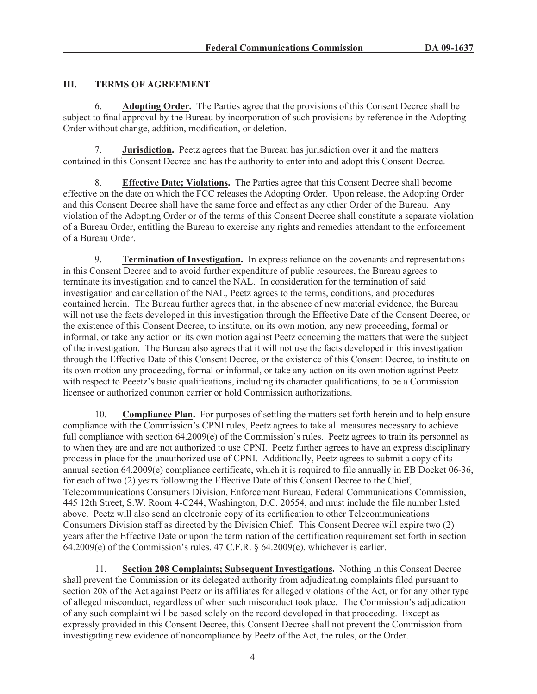# **III. TERMS OF AGREEMENT**

6. **Adopting Order.** The Parties agree that the provisions of this Consent Decree shall be subject to final approval by the Bureau by incorporation of such provisions by reference in the Adopting Order without change, addition, modification, or deletion.

7. **Jurisdiction.** Peetz agrees that the Bureau has jurisdiction over it and the matters contained in this Consent Decree and has the authority to enter into and adopt this Consent Decree.

8. **Effective Date; Violations.** The Parties agree that this Consent Decree shall become effective on the date on which the FCC releases the Adopting Order. Upon release, the Adopting Order and this Consent Decree shall have the same force and effect as any other Order of the Bureau. Any violation of the Adopting Order or of the terms of this Consent Decree shall constitute a separate violation of a Bureau Order, entitling the Bureau to exercise any rights and remedies attendant to the enforcement of a Bureau Order.

9. **Termination of Investigation.** In express reliance on the covenants and representations in this Consent Decree and to avoid further expenditure of public resources, the Bureau agrees to terminate its investigation and to cancel the NAL. In consideration for the termination of said investigation and cancellation of the NAL, Peetz agrees to the terms, conditions, and procedures contained herein. The Bureau further agrees that, in the absence of new material evidence, the Bureau will not use the facts developed in this investigation through the Effective Date of the Consent Decree, or the existence of this Consent Decree, to institute, on its own motion, any new proceeding, formal or informal, or take any action on its own motion against Peetz concerning the matters that were the subject of the investigation. The Bureau also agrees that it will not use the facts developed in this investigation through the Effective Date of this Consent Decree, or the existence of this Consent Decree, to institute on its own motion any proceeding, formal or informal, or take any action on its own motion against Peetz with respect to Peeetz's basic qualifications, including its character qualifications, to be a Commission licensee or authorized common carrier or hold Commission authorizations.

10. **Compliance Plan.** For purposes of settling the matters set forth herein and to help ensure compliance with the Commission's CPNI rules, Peetz agrees to take all measures necessary to achieve full compliance with section 64.2009(e) of the Commission's rules. Peetz agrees to train its personnel as to when they are and are not authorized to use CPNI. Peetz further agrees to have an express disciplinary process in place for the unauthorized use of CPNI. Additionally, Peetz agrees to submit a copy of its annual section 64.2009(e) compliance certificate, which it is required to file annually in EB Docket 06-36, for each of two (2) years following the Effective Date of this Consent Decree to the Chief, Telecommunications Consumers Division, Enforcement Bureau, Federal Communications Commission, 445 12th Street, S.W. Room 4-C244, Washington, D.C. 20554, and must include the file number listed above. Peetz will also send an electronic copy of its certification to other Telecommunications Consumers Division staff as directed by the Division Chief. This Consent Decree will expire two (2) years after the Effective Date or upon the termination of the certification requirement set forth in section 64.2009(e) of the Commission's rules, 47 C.F.R. § 64.2009(e), whichever is earlier.

11. **Section 208 Complaints; Subsequent Investigations.** Nothing in this Consent Decree shall prevent the Commission or its delegated authority from adjudicating complaints filed pursuant to section 208 of the Act against Peetz or its affiliates for alleged violations of the Act, or for any other type of alleged misconduct, regardless of when such misconduct took place. The Commission's adjudication of any such complaint will be based solely on the record developed in that proceeding. Except as expressly provided in this Consent Decree, this Consent Decree shall not prevent the Commission from investigating new evidence of noncompliance by Peetz of the Act, the rules, or the Order.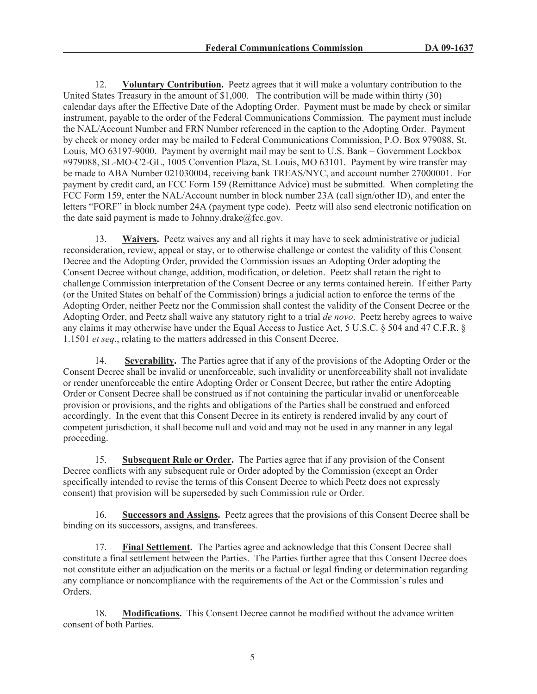12. **Voluntary Contribution.** Peetz agrees that it will make a voluntary contribution to the United States Treasury in the amount of \$1,000. The contribution will be made within thirty (30) calendar days after the Effective Date of the Adopting Order. Payment must be made by check or similar instrument, payable to the order of the Federal Communications Commission. The payment must include the NAL/Account Number and FRN Number referenced in the caption to the Adopting Order. Payment by check or money order may be mailed to Federal Communications Commission, P.O. Box 979088, St. Louis, MO 63197-9000. Payment by overnight mail may be sent to U.S. Bank – Government Lockbox #979088, SL-MO-C2-GL, 1005 Convention Plaza, St. Louis, MO 63101. Payment by wire transfer may be made to ABA Number 021030004, receiving bank TREAS/NYC, and account number 27000001. For payment by credit card, an FCC Form 159 (Remittance Advice) must be submitted. When completing the FCC Form 159, enter the NAL/Account number in block number 23A (call sign/other ID), and enter the letters "FORF" in block number 24A (payment type code). Peetz will also send electronic notification on the date said payment is made to Johnny.drake $@$ fcc.gov.

13. **Waivers.** Peetz waives any and all rights it may have to seek administrative or judicial reconsideration, review, appeal or stay, or to otherwise challenge or contest the validity of this Consent Decree and the Adopting Order, provided the Commission issues an Adopting Order adopting the Consent Decree without change, addition, modification, or deletion. Peetz shall retain the right to challenge Commission interpretation of the Consent Decree or any terms contained herein. If either Party (or the United States on behalf of the Commission) brings a judicial action to enforce the terms of the Adopting Order, neither Peetz nor the Commission shall contest the validity of the Consent Decree or the Adopting Order, and Peetz shall waive any statutory right to a trial *de novo*. Peetz hereby agrees to waive any claims it may otherwise have under the Equal Access to Justice Act, 5 U.S.C. § 504 and 47 C.F.R. § 1.1501 *et seq*., relating to the matters addressed in this Consent Decree.

14. **Severability.** The Parties agree that if any of the provisions of the Adopting Order or the Consent Decree shall be invalid or unenforceable, such invalidity or unenforceability shall not invalidate or render unenforceable the entire Adopting Order or Consent Decree, but rather the entire Adopting Order or Consent Decree shall be construed as if not containing the particular invalid or unenforceable provision or provisions, and the rights and obligations of the Parties shall be construed and enforced accordingly. In the event that this Consent Decree in its entirety is rendered invalid by any court of competent jurisdiction, it shall become null and void and may not be used in any manner in any legal proceeding.

15. **Subsequent Rule or Order.** The Parties agree that if any provision of the Consent Decree conflicts with any subsequent rule or Order adopted by the Commission (except an Order specifically intended to revise the terms of this Consent Decree to which Peetz does not expressly consent) that provision will be superseded by such Commission rule or Order.

16. **Successors and Assigns.** Peetz agrees that the provisions of this Consent Decree shall be binding on its successors, assigns, and transferees.

17. **Final Settlement.** The Parties agree and acknowledge that this Consent Decree shall constitute a final settlement between the Parties. The Parties further agree that this Consent Decree does not constitute either an adjudication on the merits or a factual or legal finding or determination regarding any compliance or noncompliance with the requirements of the Act or the Commission's rules and Orders.

18. **Modifications.** This Consent Decree cannot be modified without the advance written consent of both Parties.